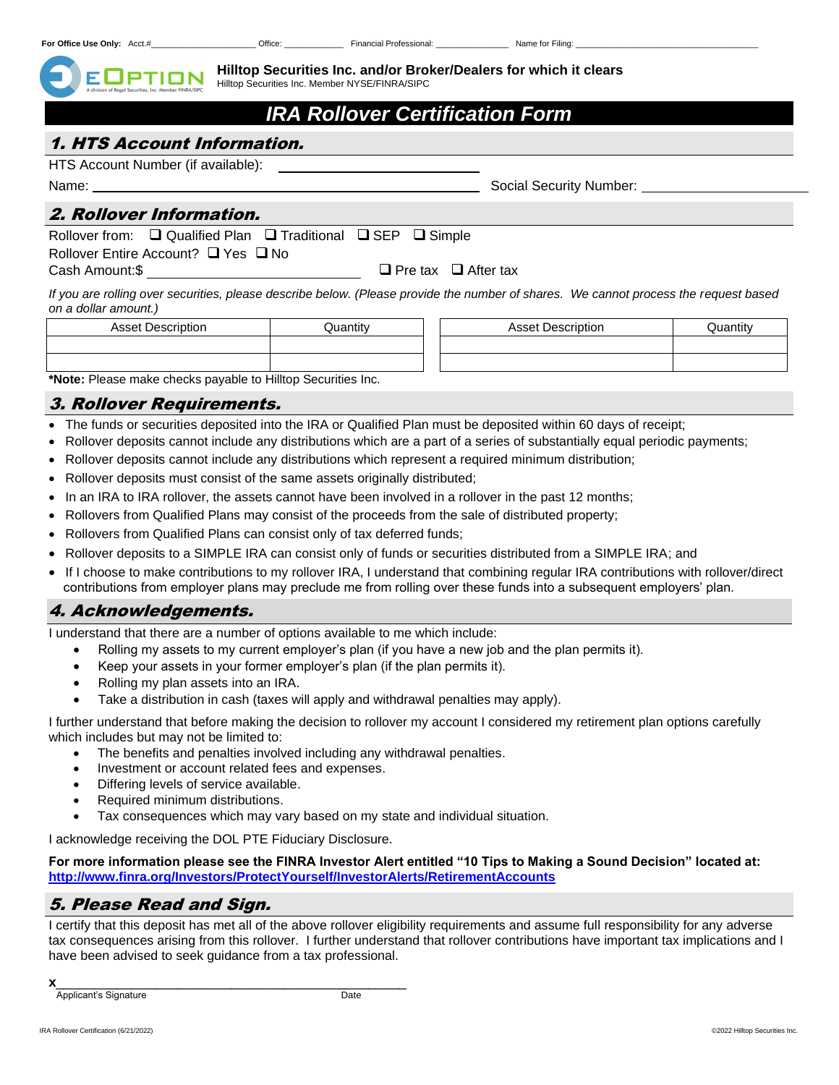**Hilltop Securities Inc. and/or Broker/Dealers for which it clears** Hilltop Securities Inc. Member NYSE/FINRA/SIPC

# *IRA Rollover Certification Form*

## 1. HTS Account Information.

HTS Account Number (if available):

Name: Social Security Number:

### 2. Rollover Information.

Rollover from: ❑ Qualified Plan ❑ Traditional ❑ SEP ❑ Simple

Rollover Entire Account? ❑ Yes ❑ No

Cash Amount:\$ ❑ Pre tax ❑ After tax

*If you are rolling over securities, please describe below. (Please provide the number of shares. We cannot process the request based on a dollar amount.)*

| <b>Asset Description</b>                                     | Quantitv | <b>Asset Description</b> | Quantitv |
|--------------------------------------------------------------|----------|--------------------------|----------|
|                                                              |          |                          |          |
|                                                              |          |                          |          |
| *Note: Please make checks navable to Hillton Securities Inc. |          |                          |          |

ake checks payable to Hilltop Securities Inc.

#### 3. Rollover Requirements.

- The funds or securities deposited into the IRA or Qualified Plan must be deposited within 60 days of receipt;
- Rollover deposits cannot include any distributions which are a part of a series of substantially equal periodic payments;
- Rollover deposits cannot include any distributions which represent a required minimum distribution;
- Rollover deposits must consist of the same assets originally distributed;
- In an IRA to IRA rollover, the assets cannot have been involved in a rollover in the past 12 months;
- Rollovers from Qualified Plans may consist of the proceeds from the sale of distributed property;
- Rollovers from Qualified Plans can consist only of tax deferred funds;
- Rollover deposits to a SIMPLE IRA can consist only of funds or securities distributed from a SIMPLE IRA; and
- If I choose to make contributions to my rollover IRA, I understand that combining regular IRA contributions with rollover/direct contributions from employer plans may preclude me from rolling over these funds into a subsequent employers' plan.

## 4. Acknowledgements.

I understand that there are a number of options available to me which include:

- Rolling my assets to my current employer's plan (if you have a new job and the plan permits it).
- Keep your assets in your former employer's plan (if the plan permits it).
- Rolling my plan assets into an IRA.
- Take a distribution in cash (taxes will apply and withdrawal penalties may apply).

I further understand that before making the decision to rollover my account I considered my retirement plan options carefully which includes but may not be limited to:

- The benefits and penalties involved including any withdrawal penalties.
- Investment or account related fees and expenses.
- Differing levels of service available.
- Required minimum distributions.
- Tax consequences which may vary based on my state and individual situation.

I acknowledge receiving the DOL PTE Fiduciary Disclosure.

**For more information please see the FINRA Investor Alert entitled "10 Tips to Making a Sound Decision" located at: http://www.finra.org/Investors/ProtectYourself/InvestorAlerts/RetirementAccounts**

## 5. Please Read and Sign.

I certify that this deposit has met all of the above rollover eligibility requirements and assume full responsibility for any adverse tax consequences arising from this rollover. I further understand that rollover contributions have important tax implications and I have been advised to seek guidance from a tax professional.

**x**\_\_\_\_\_\_\_\_\_\_\_\_\_\_\_\_\_\_\_\_\_\_\_\_\_\_\_\_\_\_\_\_\_\_\_\_\_\_\_\_\_\_\_\_\_\_

**Applicant's Signature Date**